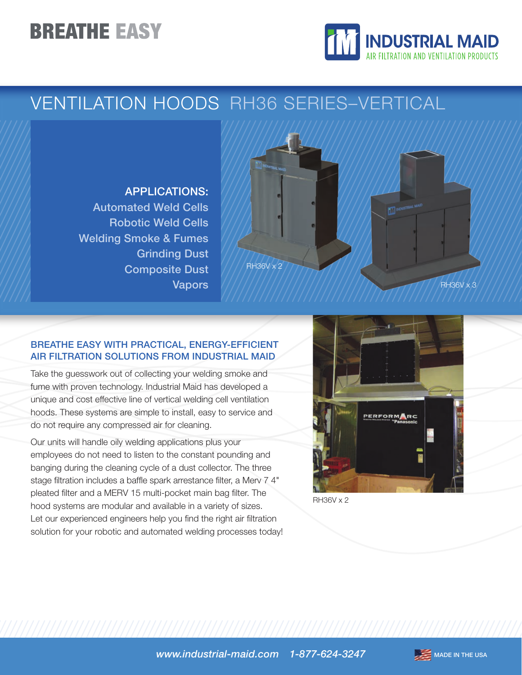# **BREATHE EASY**



## VENTILATION HOODS RH36 SERIES–VERTICAL

### APPLICATIONS:

Automated Weld Cells Robotic Weld Cells Welding Smoke & Fumes Grinding Dust Composite Dust Vapors



### BREATHE EASY WITH PRACTICAL, ENERGY-EFFICIENT AIR FILTRATION SOLUTIONS FROM INDUSTRIAL MAID

Take the guesswork out of collecting your welding smoke and fume with proven technology. Industrial Maid has developed a unique and cost effective line of vertical welding cell ventilation hoods. These systems are simple to install, easy to service and do not require any compressed air for cleaning.

Our units will handle oily welding applications plus your employees do not need to listen to the constant pounding and banging during the cleaning cycle of a dust collector. The three stage filtration includes a baffle spark arrestance filter, a Merv 7 4" pleated filter and a MERV 15 multi-pocket main bag filter. The hood systems are modular and available in a variety of sizes. Let our experienced engineers help you find the right air filtration solution for your robotic and automated welding processes today!



RH36V x 2